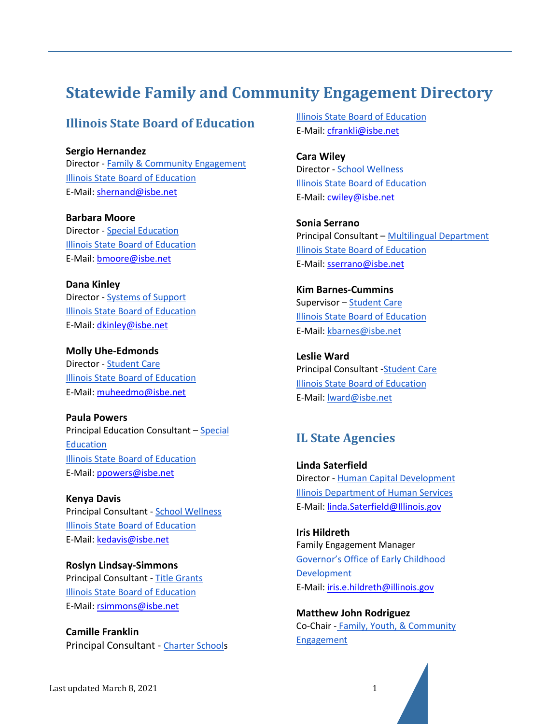# **Statewide Family and Community Engagement Directory**

### **Illinois State Board of Education**

**Sergio Hernandez** Director - [Family & Community Engagement](https://www.isbe.net/Pages/Family-Community-Engagement.aspx) [Illinois State Board of Education](https://www.isbe.net/Pages/Home.aspx) E-Mail: [shernand@isbe.net](mailto:shernand@isbe.net)

**Barbara Moore** Director - [Special Education](https://www.isbe.net/Pages/Special-Education-Programs.aspx) [Illinois State Board of Education](https://www.isbe.net/Pages/Home.aspx) E-Mail: [bmoore@isbe.net](mailto:bmoore@isbe.net)

**Dana Kinley** Director - [Systems of Support](https://www.google.com/url?q=https://www.isbe.net/Pages/Support-Accountability.aspx&sa=D&source=editors&ust=1616514274661000&usg=AOvVaw2NOmPVLFgtLADAGkAmrEcT) [Illinois State Board of Education](https://www.isbe.net/Pages/Home.aspx) E-Mail: [dkinley@isbe.net](mailto:dkinley@isbe.net)

**Molly Uhe-Edmonds** Director - [Student Care](https://www.isbe.net/student-care) [Illinois State Board of Education](https://www.isbe.net/Pages/Home.aspx) E-Mail: [muheedmo@isbe.net](mailto:muheedmo@isbe.net)

**Paula Powers** Principal Education Consultant – [Special](https://www.isbe.net/Pages/Special-Education-Programs.aspx)  [Education](https://www.isbe.net/Pages/Special-Education-Programs.aspx) [Illinois State Board of Education](https://www.isbe.net/Pages/Home.aspx) E-Mail: [ppowers@isbe.net](mailto:ppowers@isbe.net)

**Kenya Davis** Principal Consultant - [School Wellness](https://www.isbe.net/Pages/School-Wellness.aspx) [Illinois State Board of Education](https://www.isbe.net/Pages/Home.aspx) E-Mail: [kedavis@isbe.net](mailto:kedavis@isbe.net)

**Roslyn Lindsay-Simmons** Principal Consultant - [Title Grants](https://www.isbe.net/Pages/Title-Grants.aspx) [Illinois State Board of Education](https://www.isbe.net/Pages/Home.aspx) E-Mail: [rsimmons@isbe.net](mailto:rsimmons@isbe.net)

**Camille Franklin** Principal Consultant - [Charter Schools](https://www.isbe.net/Pages/Charter-Schools.aspx) [Illinois State Board of Education](https://www.isbe.net/Pages/Home.aspx) E-Mail: [cfrankli@isbe.net](mailto:cfrankli@isbe.net)

**Cara Wiley** Director - [School Wellness](https://www.isbe.net/Pages/School-Wellness.aspx) [Illinois State Board of Education](https://www.isbe.net/Pages/Home.aspx) E-Mail: [cwiley@isbe.net](mailto:cwiley@isbe.net)

**Sonia Serrano** Principal Consultant – [Multilingual Department](https://www.isbe.net/Pages/Multilingual-Services.aspx) [Illinois State Board of Education](https://www.isbe.net/Pages/Home.aspx) E-Mail: [sserrano@isbe.net](mailto:sserrano@isbe.net)

**Kim Barnes-Cummins** Supervisor – [Student Care](https://www.isbe.net/student-care) [Illinois State Board of Education](https://www.isbe.net/Pages/Home.aspx) E-Mail: [kbarnes@isbe.net](mailto:kbarnes@isbe.net)

**Leslie Ward** Principal Consultant [-Student Care](https://www.isbe.net/student-care) [Illinois State Board of Education](https://www.isbe.net/Pages/Home.aspx) E-Mail: [lward@isbe.net](mailto:lward@isbe.net)

### **IL State Agencies**

**Linda Saterfield** Director - [Human Capital](https://www.dhs.state.il.us/page.aspx?item=42715) [Development](https://www.dhs.state.il.us/page.aspx?item=42715) [Illinois Department of Human Services](https://www.dhs.state.il.us/page.aspx) E-Mail: [linda.Saterfield@Illinois.gov](mailto:linda.Saterfield@Illinois.gov)

**Iris Hildreth** Family Engagement Manager [Governor's Office of Early Childhood](https://www2.illinois.gov/sites/OECD/Pages/default.aspx)  **[Development](https://www2.illinois.gov/sites/OECD/Pages/default.aspx)** E-Mail: [iris.e.hildreth@illinois.gov](mailto:iris.e.hildreth@illinois.gov)

**Matthew John Rodriguez** Co-Chair - [Family, Youth,](https://www2.illinois.gov/sites/P20/Pages/COMM3.aspx) & Community [Engagement](https://www2.illinois.gov/sites/P20/Pages/COMM3.aspx)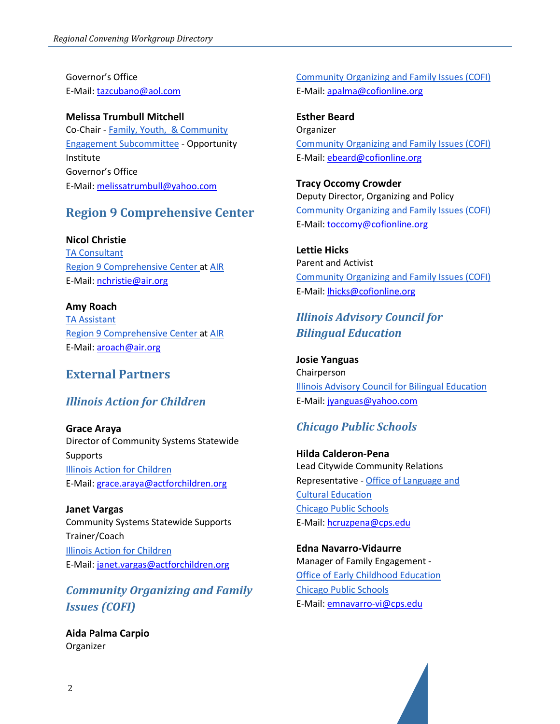Governor's Office E-Mail: [tazcubano@aol.com](mailto:tazcubano@aol.com)

**Melissa Trumbull Mitchell** Co-Chair - [Family, Youth, & Community](https://www2.illinois.gov/sites/P20/Pages/COMM3.aspx)  [Engagement Subcommittee](https://www2.illinois.gov/sites/P20/Pages/COMM3.aspx) - Opportunity Institute Governor's Office E-Mail: [melissatrumbull@yahoo.com](mailto:melissatrumbull@yahoo.com)

## **Region 9 Comprehensive Center**

**Nicol Christie**

[TA Consultant](https://region9cc.org/) [Region 9 Comprehensive Center a](https://region9cc.org/about-us)[t AIR](http://www.air.org/) E-Mail: [nchristie@air.org](mailto:nchristie@air.org)

#### **Amy Roach**

[TA Assistant](https://region9cc.org/) [Region 9 Comprehensive Center a](https://region9cc.org/about-us)[t AIR](http://www.air.org/) E-Mail: [aroach@air.org](mailto:aroach@air.org)

### **External Partners**

### *Illinois Action for Children*

**Grace Araya** Director of Community Systems Statewide Supports [Illinois Action for Children](https://www.actforchildren.org/home) E-Mail: [grace.araya@actforchildren.org](mailto:grace.araya@actforchildren.org)

**Janet Vargas** Community Systems Statewide Supports Trainer/Coach [Illinois Action for Children](https://www.actforchildren.org/home) E-Mail: [janet.vargas@actforchildren.org](mailto:janet.vargas@actforchildren.org)

# *Community Organizing and Family Issues (COFI)*

**Aida Palma Carpio** Organizer

[Community Organizing and Family Issues \(COFI\)](https://cofionline.org/COFI/) E-Mail: [apalma@cofionline.org](mailto:apalma@cofionline.org)

**Esther Beard** Organizer [Community Organizing and Family Issues \(COFI\)](https://cofionline.org/COFI/) E-Mail: [ebeard@cofionline.org](mailto:ebeard@cofionline.org)

**Tracy Occomy Crowder** Deputy Director, Organizing and Policy [Community Organizing and Family Issues \(COFI\)](https://cofionline.org/COFI/) E-Mail: [toccomy@cofionline.org](mailto:toccomy@cofionline.org)

**Lettie Hicks** Parent and Activist [Community Organizing and Family Issues \(COFI\)](https://cofionline.org/COFI/) E-Mail: [lhicks@cofionline.org](mailto:lhicks@cofionline.org)

# *Illinois Advisory Council for Bilingual Education*

**Josie Yanguas** Chairperson [Illinois Advisory Council for Bilingual Education](https://www.isbe.net/Pages/Illinois-Advisory-Council-on-Bilingual-Education.aspx#:%7E:text=The%20purpose%20of%20the%20Advisory,17%20members%20including%20the%20Chairperson.) E-Mail: [jyanguas@yahoo.com](mailto:jyanguas@yahoo.com)

### *Chicago Public Schools*

**Hilda Calderon-Pena** Lead Citywide Community Relations Representative - [Office of Language and](https://www.cps.edu/about/departments/language-and-cultural-education-olce/)  [Cultural Education](https://www.cps.edu/about/departments/language-and-cultural-education-olce/) [Chicago Public Schools](https://www.cps.edu/) E-Mail: [hcruzpena@cps.edu](mailto:hcruzpena@cps.edu)

**Edna Navarro-Vidaurre** Manager of Family Engagement - [Office of Early Childhood Education](https://www.cps.edu/about/departments/early-childhood-education/) [Chicago Public Schools](https://www.cps.edu/) E-Mail: [emnavarro-vi@cps.edu](mailto:emnavarro-vi@cps.edu)

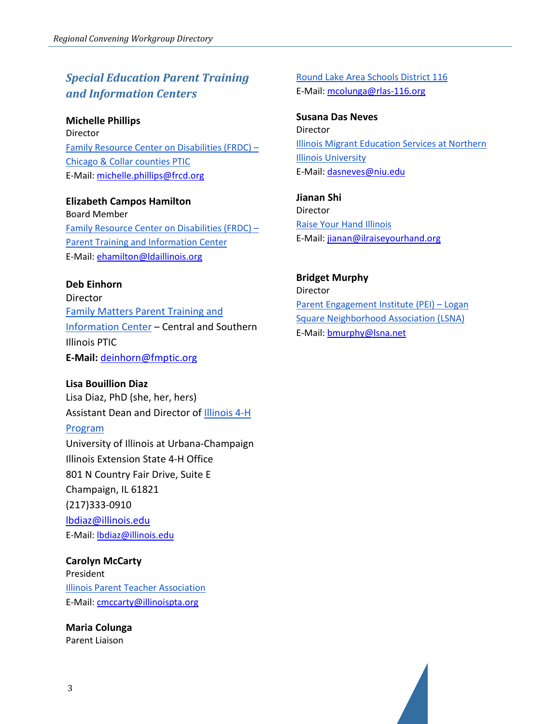# *Special Education Parent Training and Information Centers*

**Michelle Phillips** Director [Family Resource Center on Disabilities \(FRDC\) –](https://frcd.org/) [Chicago & Collar counties PTIC](https://frcd.org/) E-Mail: [michelle.phillips@frcd.org](mailto:michelle.phillips@frcd.org)

#### **Elizabeth Campos Hamilton**

Board Member [Family Resource Center on Disabilities \(FRDC\) –](https://frcd.org/) [Parent Training and Information Center](https://frcd.org/) E-Mail: [ehamilton@ldaillinois.org](mailto:ehamilton@ldaillinois.org)

#### **Deb Einhorn**

Director [Family Matters Parent Training and](https://www.fmptic.org/)  [Information Center](https://www.fmptic.org/) – Central and Southern Illinois PTIC **E-Mail:** [deinhorn@fmptic.org](mailto:deinhorn@fmptic.org)

#### **Lisa Bouillion Diaz**

Lisa Diaz, PhD (she, her, hers) Assistant Dean and Director of [Illinois 4-H](https://4h.extension.illinois.edu/) 

#### [Program](https://4h.extension.illinois.edu/)

University of Illinois at Urbana-Champaign Illinois Extension State 4-H Office 801 N Country Fair Drive, Suite E Champaign, IL 61821 (217)333-0910 [lbdiaz@illinois.edu](mailto:lbdiaz@illinois.edu) E-Mail: [lbdiaz@illinois.edu](mailto:lbdiaz@illinois.edu)

#### **Carolyn McCarty**

President [Illinois Parent Teacher Association](https://illinoispta.org/)  E-Mail: [cmccarty@illinoispta.org](mailto:cmccarty@illinoispta.org)

**Maria Colunga** Parent Liaison

[Round Lake Area Schools District 116](https://www.rlas-116.org/) E-Mail: [mcolunga@rlas-116.org](mailto:mcolunga@rlas-116.org)

**Susana Das Neves** Director [Illinois Migrant Education Services at Northern](https://www.niu.edu/illinois-mep/index.shtml)  [Illinois University](https://www.niu.edu/illinois-mep/index.shtml) E-Mail: [dasneves@niu.edu](mailto:dasneves@niu.edu)

**Jianan Shi** Director [Raise Your Hand Illinois](https://www.ilraiseyourhand.org/) E-Mail: [jianan@ilraiseyourhand.org](mailto:jianan@ilraiseyourhand.org)

**Bridget Murphy** Director [Parent Engagement Institute \(PEI\) –](https://www.parentengagement.institute/) Logan [Square Neighborhood Association \(LSNA\)](https://www.parentengagement.institute/) E-Mail: [bmurphy@lsna.net](mailto:bmurphy@lsna.net)